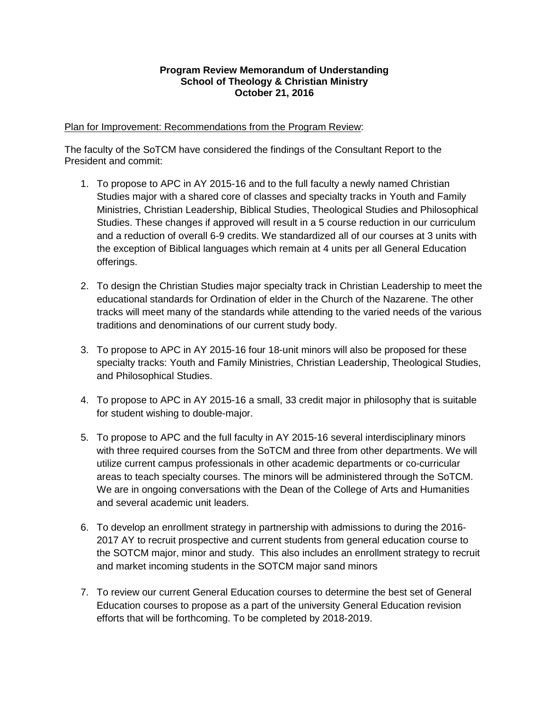## **Program Review Memorandum of Understanding School of Theology & Christian Ministry October 21, 2016**

#### Plan for Improvement: Recommendations from the Program Review:

The faculty of the SoTCM have considered the findings of the Consultant Report to the President and commit:

- 1. To propose to APC in AY 2015-16 and to the full faculty a newly named Christian Studies major with a shared core of classes and specialty tracks in Youth and Family Ministries, Christian Leadership, Biblical Studies, Theological Studies and Philosophical Studies. These changes if approved will result in a 5 course reduction in our curriculum and a reduction of overall 6-9 credits. We standardized all of our courses at 3 units with the exception of Biblical languages which remain at 4 units per all General Education offerings.
- 2. To design the Christian Studies major specialty track in Christian Leadership to meet the educational standards for Ordination of elder in the Church of the Nazarene. The other tracks will meet many of the standards while attending to the varied needs of the various traditions and denominations of our current study body.
- 3. To propose to APC in AY 2015-16 four 18-unit minors will also be proposed for these specialty tracks: Youth and Family Ministries, Christian Leadership, Theological Studies, and Philosophical Studies.
- 4. To propose to APC in AY 2015-16 a small, 33 credit major in philosophy that is suitable for student wishing to double-major.
- 5. To propose to APC and the full faculty in AY 2015-16 several interdisciplinary minors with three required courses from the SoTCM and three from other departments. We will utilize current campus professionals in other academic departments or co-curricular areas to teach specialty courses. The minors will be administered through the SoTCM. We are in ongoing conversations with the Dean of the College of Arts and Humanities and several academic unit leaders.
- 6. To develop an enrollment strategy in partnership with admissions to during the 2016- 2017 AY to recruit prospective and current students from general education course to the SOTCM major, minor and study. This also includes an enrollment strategy to recruit and market incoming students in the SOTCM major sand minors
- 7. To review our current General Education courses to determine the best set of General Education courses to propose as a part of the university General Education revision efforts that will be forthcoming. To be completed by 2018-2019.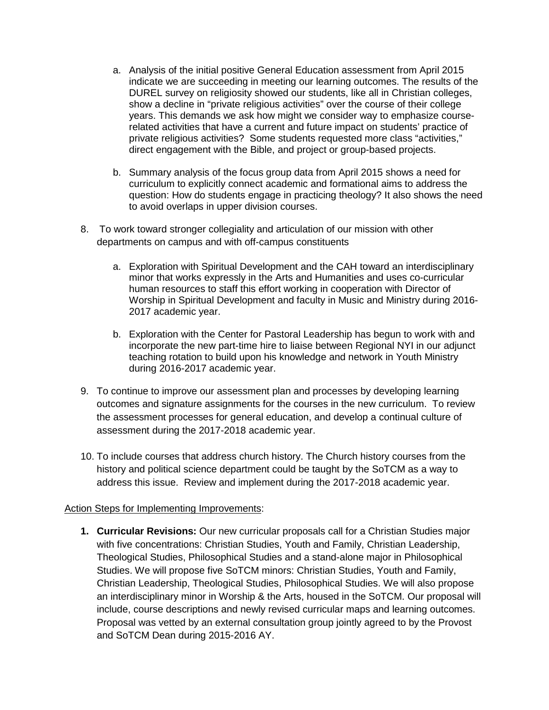- a. Analysis of the initial positive General Education assessment from April 2015 indicate we are succeeding in meeting our learning outcomes. The results of the DUREL survey on religiosity showed our students, like all in Christian colleges, show a decline in "private religious activities" over the course of their college years. This demands we ask how might we consider way to emphasize courserelated activities that have a current and future impact on students' practice of private religious activities? Some students requested more class "activities," direct engagement with the Bible, and project or group-based projects.
- b. Summary analysis of the focus group data from April 2015 shows a need for curriculum to explicitly connect academic and formational aims to address the question: How do students engage in practicing theology? It also shows the need to avoid overlaps in upper division courses.
- 8. To work toward stronger collegiality and articulation of our mission with other departments on campus and with off-campus constituents
	- a. Exploration with Spiritual Development and the CAH toward an interdisciplinary minor that works expressly in the Arts and Humanities and uses co-curricular human resources to staff this effort working in cooperation with Director of Worship in Spiritual Development and faculty in Music and Ministry during 2016- 2017 academic year.
	- b. Exploration with the Center for Pastoral Leadership has begun to work with and incorporate the new part-time hire to liaise between Regional NYI in our adjunct teaching rotation to build upon his knowledge and network in Youth Ministry during 2016-2017 academic year.
- 9. To continue to improve our assessment plan and processes by developing learning outcomes and signature assignments for the courses in the new curriculum. To review the assessment processes for general education, and develop a continual culture of assessment during the 2017-2018 academic year.
- 10. To include courses that address church history. The Church history courses from the history and political science department could be taught by the SoTCM as a way to address this issue. Review and implement during the 2017-2018 academic year.

## Action Steps for Implementing Improvements:

**1. Curricular Revisions:** Our new curricular proposals call for a Christian Studies major with five concentrations: Christian Studies, Youth and Family, Christian Leadership, Theological Studies, Philosophical Studies and a stand-alone major in Philosophical Studies. We will propose five SoTCM minors: Christian Studies, Youth and Family, Christian Leadership, Theological Studies, Philosophical Studies. We will also propose an interdisciplinary minor in Worship & the Arts, housed in the SoTCM. Our proposal will include, course descriptions and newly revised curricular maps and learning outcomes. Proposal was vetted by an external consultation group jointly agreed to by the Provost and SoTCM Dean during 2015-2016 AY.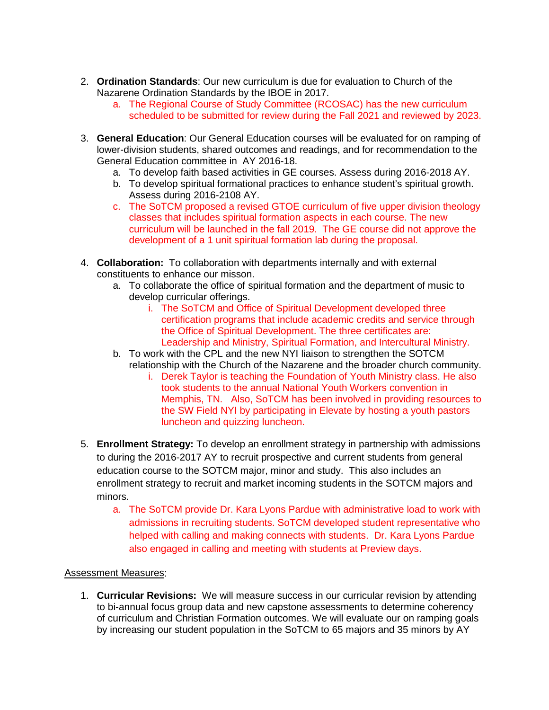- 2. **Ordination Standards**: Our new curriculum is due for evaluation to Church of the Nazarene Ordination Standards by the IBOE in 2017.
	- a. The Regional Course of Study Committee (RCOSAC) has the new curriculum scheduled to be submitted for review during the Fall 2021 and reviewed by 2023.
- 3. **General Education**: Our General Education courses will be evaluated for on ramping of lower-division students, shared outcomes and readings, and for recommendation to the General Education committee in AY 2016-18.
	- a. To develop faith based activities in GE courses. Assess during 2016-2018 AY.
	- b. To develop spiritual formational practices to enhance student's spiritual growth. Assess during 2016-2108 AY.
	- c. The SoTCM proposed a revised GTOE curriculum of five upper division theology classes that includes spiritual formation aspects in each course. The new curriculum will be launched in the fall 2019. The GE course did not approve the development of a 1 unit spiritual formation lab during the proposal.
- 4. **Collaboration:** To collaboration with departments internally and with external constituents to enhance our misson.
	- a. To collaborate the office of spiritual formation and the department of music to develop curricular offerings.
		- i. The SoTCM and Office of Spiritual Development developed three certification programs that include academic credits and service through the Office of Spiritual Development. The three certificates are: Leadership and Ministry, Spiritual Formation, and Intercultural Ministry.
	- b. To work with the CPL and the new NYI liaison to strengthen the SOTCM relationship with the Church of the Nazarene and the broader church community.
		- i. Derek Taylor is teaching the Foundation of Youth Ministry class. He also took students to the annual National Youth Workers convention in Memphis, TN. Also, SoTCM has been involved in providing resources to the SW Field NYI by participating in Elevate by hosting a youth pastors luncheon and quizzing luncheon.
- 5. **Enrollment Strategy:** To develop an enrollment strategy in partnership with admissions to during the 2016-2017 AY to recruit prospective and current students from general education course to the SOTCM major, minor and study. This also includes an enrollment strategy to recruit and market incoming students in the SOTCM majors and minors.
	- a. The SoTCM provide Dr. Kara Lyons Pardue with administrative load to work with admissions in recruiting students. SoTCM developed student representative who helped with calling and making connects with students. Dr. Kara Lyons Pardue also engaged in calling and meeting with students at Preview days.

## Assessment Measures:

1. **Curricular Revisions:** We will measure success in our curricular revision by attending to bi-annual focus group data and new capstone assessments to determine coherency of curriculum and Christian Formation outcomes. We will evaluate our on ramping goals by increasing our student population in the SoTCM to 65 majors and 35 minors by AY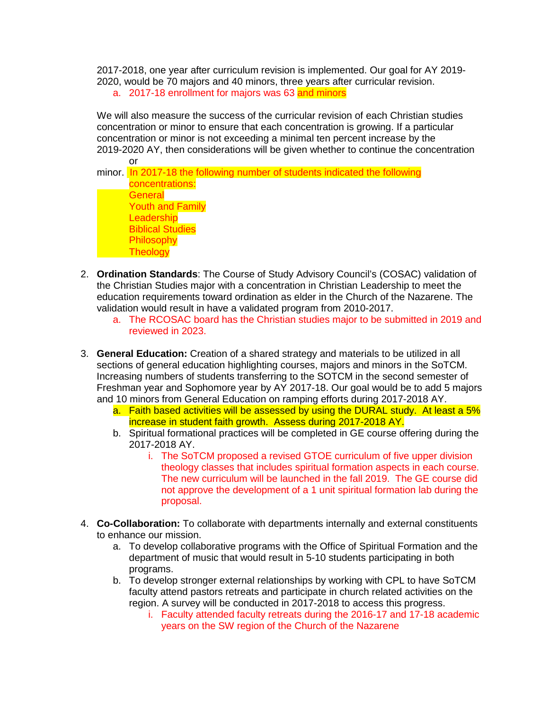2017-2018, one year after curriculum revision is implemented. Our goal for AY 2019- 2020, would be 70 majors and 40 minors, three years after curricular revision.

a. 2017-18 enrollment for majors was 63 and minors

We will also measure the success of the curricular revision of each Christian studies concentration or minor to ensure that each concentration is growing. If a particular concentration or minor is not exceeding a minimal ten percent increase by the 2019-2020 AY, then considerations will be given whether to continue the concentration or

minor. In 2017-18 the following number of students indicated the following concentrations: **General** Youth and Family **Leadership** Biblical Studies Philosophy **Theology** 

- 2. **Ordination Standards**: The Course of Study Advisory Council's (COSAC) validation of the Christian Studies major with a concentration in Christian Leadership to meet the education requirements toward ordination as elder in the Church of the Nazarene. The validation would result in have a validated program from 2010-2017.
	- a. The RCOSAC board has the Christian studies major to be submitted in 2019 and reviewed in 2023.
- 3. **General Education:** Creation of a shared strategy and materials to be utilized in all sections of general education highlighting courses, majors and minors in the SoTCM. Increasing numbers of students transferring to the SOTCM in the second semester of Freshman year and Sophomore year by AY 2017-18. Our goal would be to add 5 majors and 10 minors from General Education on ramping efforts during 2017-2018 AY.
	- a. Faith based activities will be assessed by using the DURAL study. At least a 5% increase in student faith growth. Assess during 2017-2018 AY.
	- b. Spiritual formational practices will be completed in GE course offering during the 2017-2018 AY.
		- i. The SoTCM proposed a revised GTOE curriculum of five upper division theology classes that includes spiritual formation aspects in each course. The new curriculum will be launched in the fall 2019. The GE course did not approve the development of a 1 unit spiritual formation lab during the proposal.
- 4. **Co-Collaboration:** To collaborate with departments internally and external constituents to enhance our mission.
	- a. To develop collaborative programs with the Office of Spiritual Formation and the department of music that would result in 5-10 students participating in both programs.
	- b. To develop stronger external relationships by working with CPL to have SoTCM faculty attend pastors retreats and participate in church related activities on the region. A survey will be conducted in 2017-2018 to access this progress.
		- i. Faculty attended faculty retreats during the 2016-17 and 17-18 academic years on the SW region of the Church of the Nazarene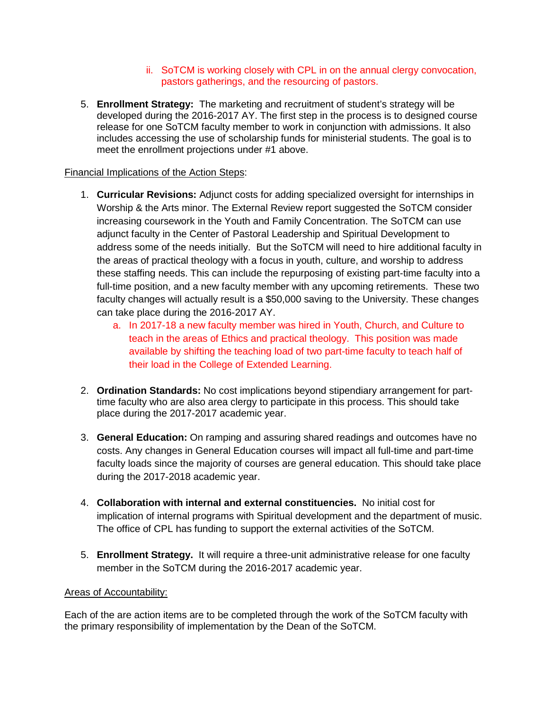### ii. SoTCM is working closely with CPL in on the annual clergy convocation, pastors gatherings, and the resourcing of pastors.

5. **Enrollment Strategy:** The marketing and recruitment of student's strategy will be developed during the 2016-2017 AY. The first step in the process is to designed course release for one SoTCM faculty member to work in conjunction with admissions. It also includes accessing the use of scholarship funds for ministerial students. The goal is to meet the enrollment projections under #1 above.

# Financial Implications of the Action Steps:

- 1. **Curricular Revisions:** Adjunct costs for adding specialized oversight for internships in Worship & the Arts minor. The External Review report suggested the SoTCM consider increasing coursework in the Youth and Family Concentration. The SoTCM can use adjunct faculty in the Center of Pastoral Leadership and Spiritual Development to address some of the needs initially. But the SoTCM will need to hire additional faculty in the areas of practical theology with a focus in youth, culture, and worship to address these staffing needs. This can include the repurposing of existing part-time faculty into a full-time position, and a new faculty member with any upcoming retirements. These two faculty changes will actually result is a \$50,000 saving to the University. These changes can take place during the 2016-2017 AY.
	- a. In 2017-18 a new faculty member was hired in Youth, Church, and Culture to teach in the areas of Ethics and practical theology. This position was made available by shifting the teaching load of two part-time faculty to teach half of their load in the College of Extended Learning.
- 2. **Ordination Standards:** No cost implications beyond stipendiary arrangement for parttime faculty who are also area clergy to participate in this process. This should take place during the 2017-2017 academic year.
- 3. **General Education:** On ramping and assuring shared readings and outcomes have no costs. Any changes in General Education courses will impact all full-time and part-time faculty loads since the majority of courses are general education. This should take place during the 2017-2018 academic year.
- 4. **Collaboration with internal and external constituencies.** No initial cost for implication of internal programs with Spiritual development and the department of music. The office of CPL has funding to support the external activities of the SoTCM.
- 5. **Enrollment Strategy.** It will require a three-unit administrative release for one faculty member in the SoTCM during the 2016-2017 academic year.

## Areas of Accountability:

Each of the are action items are to be completed through the work of the SoTCM faculty with the primary responsibility of implementation by the Dean of the SoTCM.